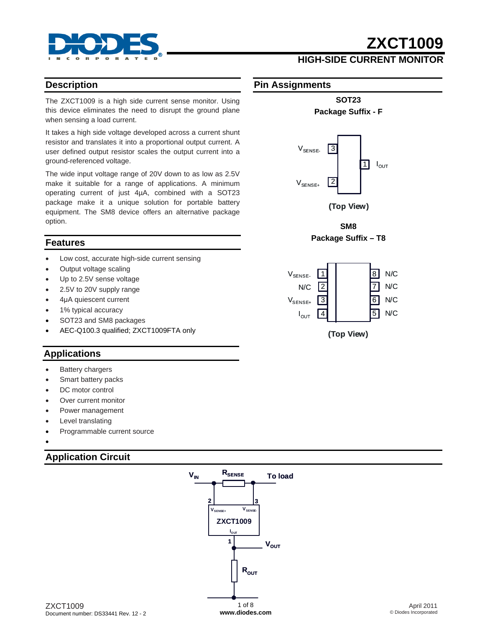

## **HIGH-SIDE CURRENT MONITOR**

#### **Description**

The ZXCT1009 is a high side current sense monitor. Using this device eliminates the need to disrupt the ground plane when sensing a load current.

It takes a high side voltage developed across a current shunt resistor and translates it into a proportional output current. A user defined output resistor scales the output current into a ground-referenced voltage.

The wide input voltage range of 20V down to as low as 2.5V make it suitable for a range of applications. A minimum operating current of just 4µA, combined with a SOT23 package make it a unique solution for portable battery equipment. The SM8 device offers an alternative package option.

#### **Features**

- Low cost, accurate high-side current sensing
- Output voltage scaling
- Up to 2.5V sense voltage
- 2.5V to 20V supply range
- 4μA quiescent current
- 1% typical accuracy
- SOT23 and SM8 packages
- AEC-Q100.3 qualified; ZXCT1009FTA only

### **Applications**

- **Battery chargers**
- Smart battery packs
- DC motor control
- Over current monitor
- Power management
- Level translating
- Programmable current source
- •

#### **Application Circuit**



#### April 2011 © Diodes Incorporated

**Pin Assignments**



**SOT23 Package Suffix - F** 

**(Top View)**

**SM8 Package Suffix – T8** 

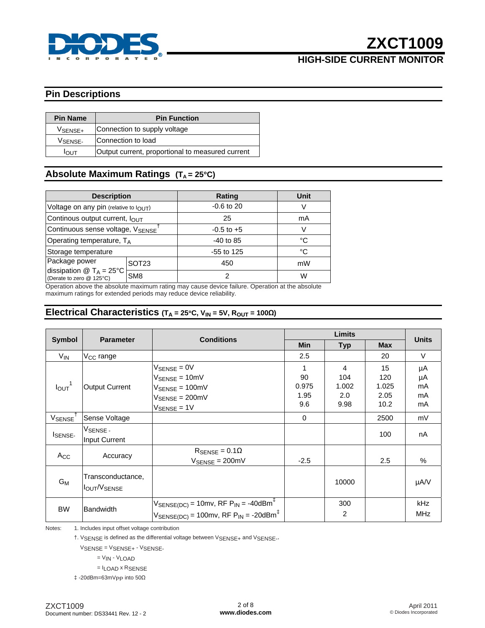

## **HIGH-SIDE CURRENT MONITOR**

## **Pin Descriptions**

| <b>Pin Name</b>     | <b>Pin Function</b>                              |  |  |  |
|---------------------|--------------------------------------------------|--|--|--|
| VSENSE+             | Connection to supply voltage                     |  |  |  |
| V <sub>SENSE-</sub> | Connection to load                               |  |  |  |
| דו וח               | Output current, proportional to measured current |  |  |  |

## Absolute Maximum Ratings (T<sub>A</sub> = 25°C)

| <b>Description</b>                                                        |                   | Rating         | <b>Unit</b> |
|---------------------------------------------------------------------------|-------------------|----------------|-------------|
| Voltage on any pin (relative to $I_{\text{OUT}}$ )                        |                   | $-0.6$ to 20   |             |
| Continous output current, lout                                            |                   | 25             | mA          |
| Continuous sense voltage, VSENSE                                          |                   | $-0.5$ to $+5$ | V           |
| Operating temperature, $T_A$                                              |                   | $-40$ to 85    | °C          |
| Storage temperature                                                       |                   | $-55$ to 125   | °C          |
| Package power                                                             | SOT <sub>23</sub> | 450            | mW          |
| dissipation $\circledR$ T <sub>A</sub> = 25°C<br>(Derate to zero @ 125°C) | SM <sub>8</sub>   | 2              | W           |

Operation above the absolute maximum rating may cause device failure. Operation at the absolute maximum ratings for extended periods may reduce device reliability.

### **Electrical Characteristics (TA = 25**°**C, VIN = 5V, ROUT = 100Ω)**

|                               |                                  |                                                                                                                                                                     | <b>Limits</b>            |                          |                            |                      |
|-------------------------------|----------------------------------|---------------------------------------------------------------------------------------------------------------------------------------------------------------------|--------------------------|--------------------------|----------------------------|----------------------|
| <b>Symbol</b>                 | <b>Parameter</b>                 | <b>Conditions</b>                                                                                                                                                   | <b>Min</b>               | <b>Typ</b>               | <b>Max</b>                 | <b>Units</b>         |
| $V_{IN}$                      | V <sub>CC</sub> range            |                                                                                                                                                                     | 2.5                      |                          | 20                         | $\vee$               |
| $I_{\text{OUT}}$ <sup>1</sup> | Output Current                   | $V_{\text{SENSE}} = 0V$<br>$V_{\text{SENSE}} = 10 \text{mV}$<br>$V_{\text{SENSE}} = 100 \text{mV}$<br>$V_{\text{SENSE}} = 200 \text{mV}$                            | 1<br>90<br>0.975<br>1.95 | 4<br>104<br>1.002<br>2.0 | 15<br>120<br>1.025<br>2.05 | μA<br>μA<br>mA<br>mA |
| VSENSE <sup>'</sup>           | Sense Voltage                    | $V_{\text{SENSE}} = 1V$                                                                                                                                             | 9.6<br>$\mathbf 0$       | 9.98                     | 10.2<br>2500               | mA<br>mV             |
| ISENSE-                       | VSENSE -<br>Input Current        |                                                                                                                                                                     |                          |                          | 100                        | nA                   |
| Acc                           | Accuracy                         | $R_{\text{SENSE}} = 0.1\Omega$<br>$V_{\text{SENSE}} = 200 \text{mV}$                                                                                                | $-2.5$                   |                          | 2.5                        | $\%$                 |
| $G_M$                         | Transconductance,<br>Iout/Vsense |                                                                                                                                                                     |                          | 10000                    |                            | µA/V                 |
| <b>BW</b>                     | Bandwidth                        | $V_{\text{SENSE(DC)}} = 10 \text{mv}$ , RF $P_{\text{IN}} = -40 \text{dBm}^{\text{F}}$<br>$V_{\text{SENSE(DC)}} = 100$ mv, RF P <sub>IN</sub> = -20dBm <sup>‡</sup> |                          | 300<br>2                 |                            | kHz<br><b>MHz</b>    |

Notes: 1. Includes input offset voltage contribution

†. VSENSE is defined as the differential voltage between VSENSE+ and VSENSE-.

VSENSE = VSENSE+ - VSENSE-

= VIN - VLOAD

= ILOAD x RSENSE

‡ -20dBm=63mVPP into 50Ω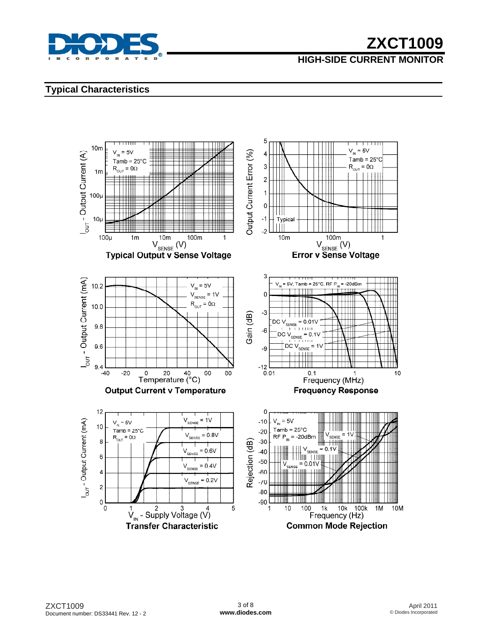

## **HIGH-SIDE CURRENT MONITOR**

### **Typical Characteristics**

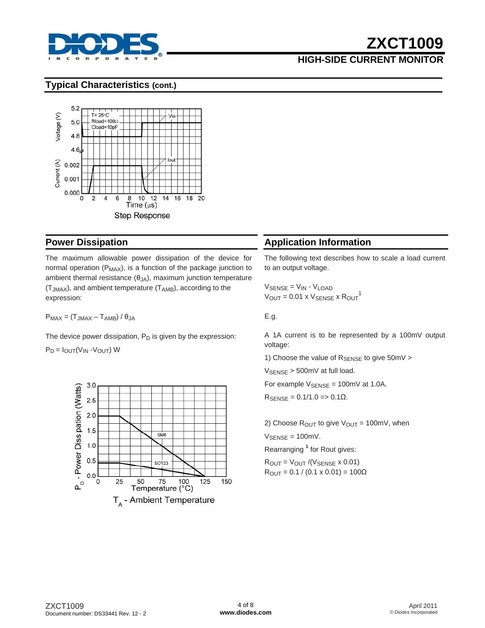

## **HIGH-SIDE CURRENT MONITOR**

#### **Typical Characteristics (cont.)**



#### **Power Dissipation**

The maximum allowable power dissipation of the device for normal operation ( $P_{MAX}$ ), is a function of the package junction to ambient thermal resistance  $(\theta_{JA})$ , maximum junction temperature  $(T_{JMAX})$ , and ambient temperature  $(T_{AMB})$ , according to the expression:

 $P_{MAX} = (T_{JMAX} - T_{AMB}) / \theta_{JA}$ 

The device power dissipation,  $P_D$  is given by the expression:

 $P_D = I_{OUT}(V_{IN} - V_{OUT})$  W



## **Application Information**

The following text describes how to scale a load current to an output voltage.

 $V_{\text{SENSE}} = V_{\text{IN}} - V_{\text{LOAD}}$  $V_{\text{OUT}} = 0.01 \times V_{\text{SENSE}} \times \text{R<sub>OUT</sub>}^1$ 

E.g.

A 1A current is to be represented by a 100mV output voltage:

1) Choose the value of  $R_{\text{SENSE}}$  to give 50mV >

V<sub>SENSE</sub> > 500mV at full load.

For example  $V_{\text{SENSE}} = 100 \text{mV}$  at 1.0A.

 $R_{\text{SENSE}} = 0.1/1.0$  = > 0.1Ω.

2) Choose  $R_{\text{OUT}}$  to give  $V_{\text{OUT}} = 100 \text{mV}$ , when

 $V_{\text{SENSE}} = 100 \text{mV}$ .

Rearranging **<sup>1</sup>** for Rout gives:

 $R_{OUT} = V_{OUT} / (V_{SENSE} \times 0.01)$  $R_{\text{OUT}} = 0.1 / (0.1 \times 0.01) = 100 \Omega$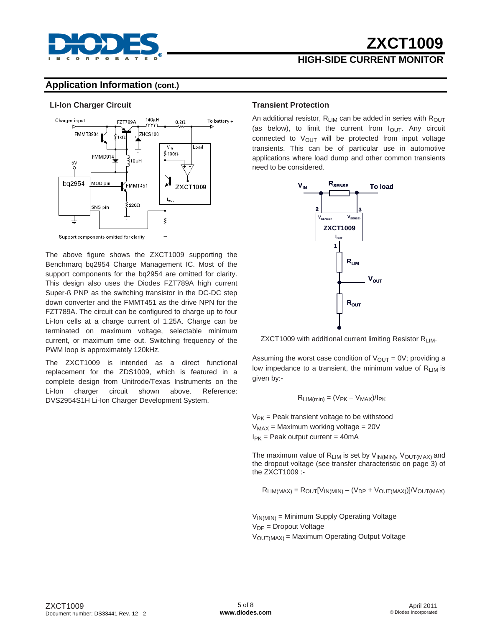

## **HIGH-SIDE CURRENT MONITOR**

#### **Application Information (cont.)**

#### **Li-Ion Charger Circuit**



The above figure shows the ZXCT1009 supporting the Benchmarq bq2954 Charge Management IC. Most of the support components for the bq2954 are omitted for clarity. This design also uses the Diodes FZT789A high current Super-ß PNP as the switching transistor in the DC-DC step down converter and the FMMT451 as the drive NPN for the FZT789A. The circuit can be configured to charge up to four Li-Ion cells at a charge current of 1.25A. Charge can be terminated on maximum voltage, selectable minimum current, or maximum time out. Switching frequency of the PWM loop is approximately 120kHz.

The ZXCT1009 is intended as a direct functional replacement for the ZDS1009, which is featured in a complete design from Unitrode/Texas Instruments on the Li-Ion charger circuit shown above. Reference: DVS2954S1H Li-Ion Charger Development System.

#### **Transient Protection**

An additional resistor,  $R_{LIM}$  can be added in series with  $R_{OUT}$ (as below), to limit the current from  $I<sub>OUT</sub>$ . Any circuit connected to  $V_{\text{OUT}}$  will be protected from input voltage transients. This can be of particular use in automotive applications where load dump and other common transients need to be considered.



ZXCT1009 with additional current limiting Resistor RLIM.

Assuming the worst case condition of  $V_{OUT} = 0V$ ; providing a low impedance to a transient, the minimum value of  $R_{LIM}$  is given by:-

$$
R_{LIM(min)} = (V_{PK} - V_{MAX})/I_{PK}
$$

 $V_{PK}$  = Peak transient voltage to be withstood  $V_{MAX}$  = Maximum working voltage = 20V  $I_{PK}$  = Peak output current = 40mA

The maximum value of  $R_{LIM}$  is set by  $V_{IN(MIN)}$ ,  $V_{OUT(MAX)}$  and the dropout voltage (see transfer characteristic on page 3) of the ZXCT1009 :-

$$
R_{LIM(MAX)} = R_{OUT}[V_{IN(MIN)} - (V_{DP} + V_{OUT(MAX)})] / V_{OUT(MAX)}
$$

 $V_{IN(MIN)} =$  Minimum Supply Operating Voltage  $V_{DP}$  = Dropout Voltage  $V<sub>OUT(MAX)</sub> = Maximum Operating Output Voltage$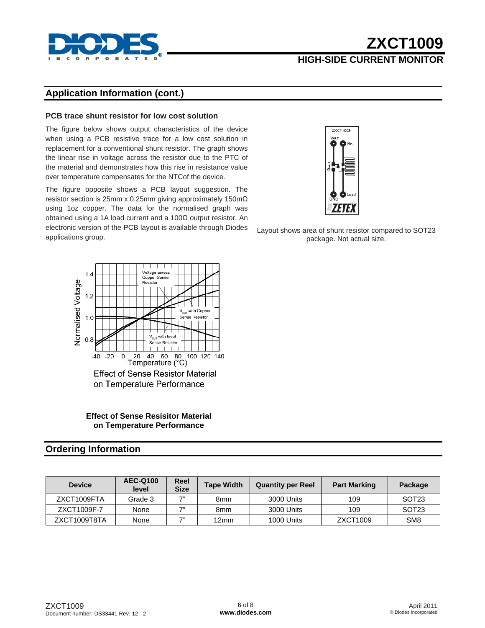

## **HIGH-SIDE CURRENT MONITOR**

### **Application Information (cont.)**

#### **PCB trace shunt resistor for low cost solution**

The figure below shows output characteristics of the device when using a PCB resistive trace for a low cost solution in replacement for a conventional shunt resistor. The graph shows the linear rise in voltage across the resistor due to the PTC of the material and demonstrates how this rise in resistance value over temperature compensates for the NTCof the device.

The figure opposite shows a PCB layout suggestion. The resistor section is 25mm x 0.25mm giving approximately 150mΩ using 1oz copper. The data for the normalised graph was obtained using a 1A load current and a 100Ω output resistor. An electronic version of the PCB layout is available through Diodes applications group.



**Effect of Sense Resisitor Material on Temperature Performance** 

#### **Ordering Information**

| <b>Device</b> | <b>AEC-Q100</b><br>level | Reel<br><b>Size</b> | <b>Tape Width</b> | <b>Quantity per Reel</b> | <b>Part Marking</b> | Package           |
|---------------|--------------------------|---------------------|-------------------|--------------------------|---------------------|-------------------|
| ZXCT1009FTA   | Grade 3                  | 7"                  | 8mm               | 3000 Units               | 109                 | SOT <sub>23</sub> |
| ZXCT1009F-7   | None                     | 7"                  | 8mm               | 3000 Units               | 109                 | SOT <sub>23</sub> |
| ZXCT1009T8TA  | None                     | 7"                  | 12mm              | 1000 Units               | ZXCT1009            | SM <sub>8</sub>   |



Layout shows area of shunt resistor compared to SOT23 package. Not actual size.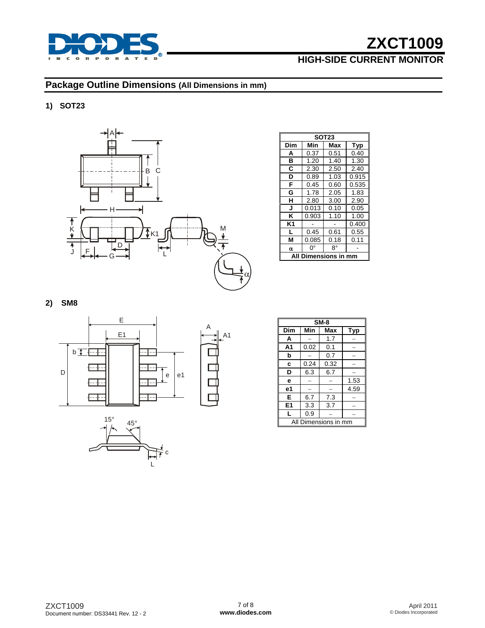

## **HIGH-SIDE CURRENT MONITOR**

## **Package Outline Dimensions (All Dimensions in mm)**

#### **1) SOT23**



A

A1

| <b>SOT23</b>      |       |      |            |  |  |  |
|-------------------|-------|------|------------|--|--|--|
| Dim               | Min   | Max  | <b>Typ</b> |  |  |  |
| A                 | 0.37  | 0.51 | 0.40       |  |  |  |
| в                 | 1.20  | 1.40 | 1.30       |  |  |  |
| C                 | 2.30  | 2.50 | 2.40       |  |  |  |
| D                 | 0.89  | 1.03 | 0.915      |  |  |  |
| F                 | 0.45  | 0.60 | 0.535      |  |  |  |
| G                 | 1.78  | 2.05 | 1.83       |  |  |  |
| н                 | 2.80  | 3.00 | 2.90       |  |  |  |
| J                 | 0.013 | 0.10 | 0.05       |  |  |  |
| ĸ                 | 0.903 | 1.10 | 1.00       |  |  |  |
| K1                |       |      | 0.400      |  |  |  |
| L                 | 0.45  | 0.61 | 0.55       |  |  |  |
| М                 | 0.085 | 0.18 | 0.11       |  |  |  |
| α                 | ŋ۰    | R٥   |            |  |  |  |
| mensions in<br>mm |       |      |            |  |  |  |

#### **2) SM8**